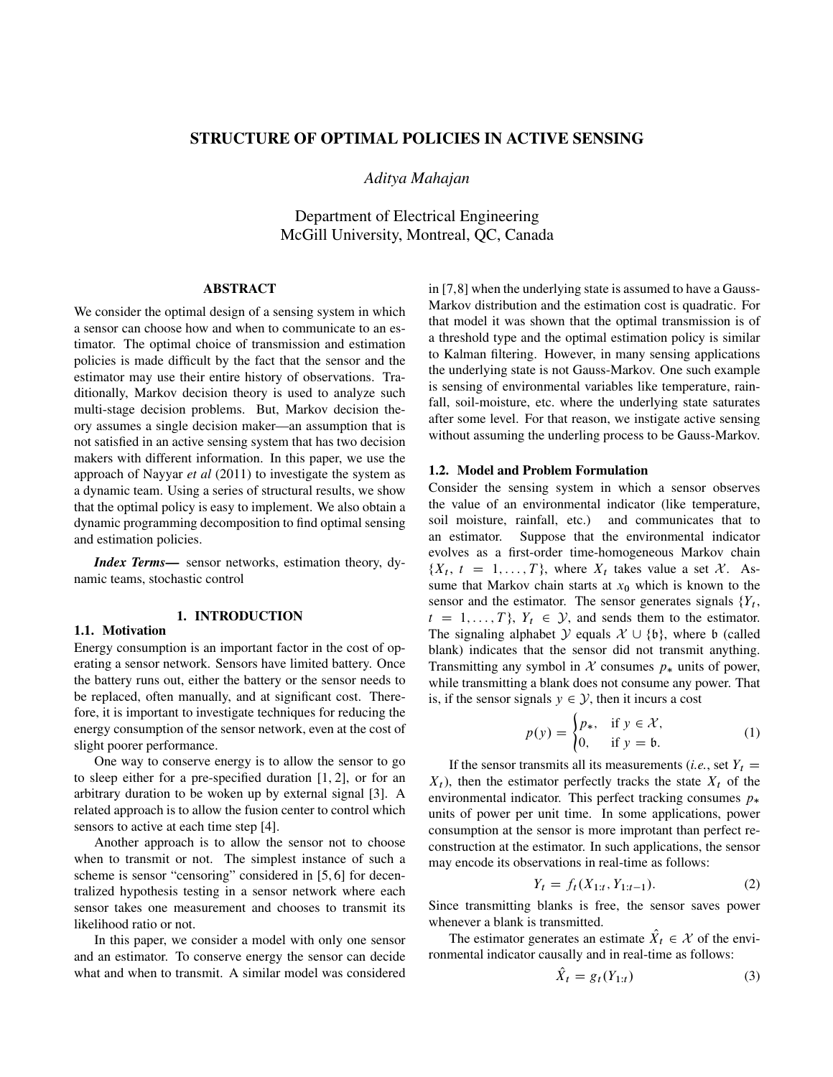# STRUCTURE OF OPTIMAL POLICIES IN ACTIVE SENSING

*Aditya Mahajan*

Department of Electrical Engineering McGill University, Montreal, QC, Canada

#### ABSTRACT

We consider the optimal design of a sensing system in which a sensor can choose how and when to communicate to an estimator. The optimal choice of transmission and estimation policies is made difficult by the fact that the sensor and the estimator may use their entire history of observations. Traditionally, Markov decision theory is used to analyze such multi-stage decision problems. But, Markov decision theory assumes a single decision maker—an assumption that is not satisfied in an active sensing system that has two decision makers with different information. In this paper, we use the approach of Nayyar *et al* (2011) to investigate the system as a dynamic team. Using a series of structural results, we show that the optimal policy is easy to implement. We also obtain a dynamic programming decomposition to find optimal sensing and estimation policies.

*Index Terms*— sensor networks, estimation theory, dynamic teams, stochastic control

# 1. INTRODUCTION

1.1. Motivation

Energy consumption is an important factor in the cost of operating a sensor network. Sensors have limited battery. Once the battery runs out, either the battery or the sensor needs to be replaced, often manually, and at significant cost. Therefore, it is important to investigate techniques for reducing the energy consumption of the sensor network, even at the cost of slight poorer performance.

One way to conserve energy is to allow the sensor to go to sleep either for a pre-specified duration [1, 2], or for an arbitrary duration to be woken up by external signal [3]. A related approach is to allow the fusion center to control which sensors to active at each time step [4].

Another approach is to allow the sensor not to choose when to transmit or not. The simplest instance of such a scheme is sensor "censoring" considered in [5, 6] for decentralized hypothesis testing in a sensor network where each sensor takes one measurement and chooses to transmit its likelihood ratio or not.

In this paper, we consider a model with only one sensor and an estimator. To conserve energy the sensor can decide what and when to transmit. A similar model was considered

in [7,8] when the underlying state is assumed to have a Gauss-Markov distribution and the estimation cost is quadratic. For that model it was shown that the optimal transmission is of a threshold type and the optimal estimation policy is similar to Kalman filtering. However, in many sensing applications the underlying state is not Gauss-Markov. One such example is sensing of environmental variables like temperature, rainfall, soil-moisture, etc. where the underlying state saturates after some level. For that reason, we instigate active sensing without assuming the underling process to be Gauss-Markov.

# 1.2. Model and Problem Formulation

Consider the sensing system in which a sensor observes the value of an environmental indicator (like temperature, soil moisture, rainfall, etc.) and communicates that to an estimator. Suppose that the environmental indicator evolves as a first-order time-homogeneous Markov chain  $\{X_t, t = 1, ..., T\}$ , where  $X_t$  takes value a set X. Assume that Markov chain starts at  $x_0$  which is known to the sensor and the estimator. The sensor generates signals  ${Y_t}$ ,  $t = 1, \ldots, T$ ,  $Y_t \in \mathcal{Y}$ , and sends them to the estimator. The signaling alphabet  $\mathcal{Y}$  equals  $\mathcal{X} \cup \{\mathfrak{b}\}\)$ , where b (called blank) indicates that the sensor did not transmit anything. Transmitting any symbol in  $X$  consumes  $p_*$  units of power, while transmitting a blank does not consume any power. That is, if the sensor signals  $y \in \mathcal{Y}$ , then it incurs a cost

$$
p(y) = \begin{cases} p_*, & \text{if } y \in \mathcal{X}, \\ 0, & \text{if } y = \mathfrak{b}. \end{cases}
$$
 (1)

If the sensor transmits all its measurements (*i.e.*, set  $Y_t$  =  $X_t$ ), then the estimator perfectly tracks the state  $X_t$  of the environmental indicator. This perfect tracking consumes  $p_*$ units of power per unit time. In some applications, power consumption at the sensor is more improtant than perfect reconstruction at the estimator. In such applications, the sensor may encode its observations in real-time as follows:

$$
Y_t = f_t(X_{1:t}, Y_{1:t-1}).
$$
\n(2)

Since transmitting blanks is free, the sensor saves power whenever a blank is transmitted.

The estimator generates an estimate  $\hat{X}_t \in \mathcal{X}$  of the environmental indicator causally and in real-time as follows:

$$
\hat{X}_t = g_t(Y_{1:t})
$$
\n(3)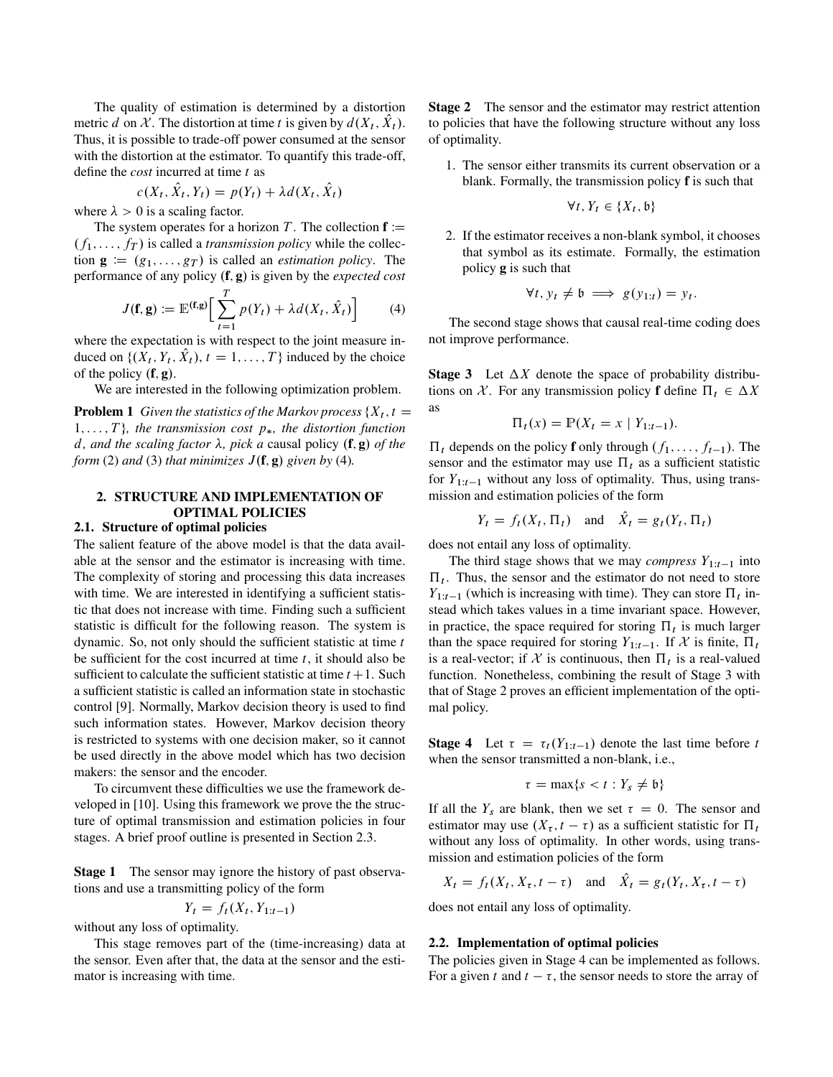The quality of estimation is determined by a distortion metric d on X. The distortion at time t is given by  $d(X_t, \hat{X}_t)$ . Thus, it is possible to trade-off power consumed at the sensor with the distortion at the estimator. To quantify this trade-off, define the *cost* incurred at time t as

$$
c(X_t, \hat{X}_t, Y_t) = p(Y_t) + \lambda d(X_t, \hat{X}_t)
$$

where  $\lambda > 0$  is a scaling factor.

The system operates for a horizon T. The collection  $f :=$  $(f_1, \ldots, f_T)$  is called a *transmission policy* while the collection  $\mathbf{g} := (g_1, \ldots, g_T)$  is called an *estimation policy*. The performance of any policy  $(f, g)$  is given by the *expected cost* 

$$
J(\mathbf{f}, \mathbf{g}) := \mathbb{E}^{(\mathbf{f}, \mathbf{g})} \Big[ \sum_{t=1}^{T} p(Y_t) + \lambda d(X_t, \hat{X}_t) \Big] \tag{4}
$$

where the expectation is with respect to the joint measure induced on  $\{(X_t, Y_t, \hat{X}_t), t = 1, \ldots, T\}$  induced by the choice of the policy  $(f, g)$ .

We are interested in the following optimization problem.

**Problem 1** *Given the statistics of the Markov process*  $\{X_t, t = I\}$  $1, \ldots, T$ , the transmission cost  $p_*$ , the distortion function d, and the scaling factor  $\lambda$ , pick a causal policy  $(f, g)$  of the *form* (2) *and* (3) *that minimizes*  $J(f, g)$  *given by* (4)*.* 

# 2. STRUCTURE AND IMPLEMENTATION OF OPTIMAL POLICIES

# 2.1. Structure of optimal policies

The salient feature of the above model is that the data available at the sensor and the estimator is increasing with time. The complexity of storing and processing this data increases with time. We are interested in identifying a sufficient statistic that does not increase with time. Finding such a sufficient statistic is difficult for the following reason. The system is dynamic. So, not only should the sufficient statistic at time  $t$ be sufficient for the cost incurred at time  $t$ , it should also be sufficient to calculate the sufficient statistic at time  $t + 1$ . Such a sufficient statistic is called an information state in stochastic control [9]. Normally, Markov decision theory is used to find such information states. However, Markov decision theory is restricted to systems with one decision maker, so it cannot be used directly in the above model which has two decision makers: the sensor and the encoder.

To circumvent these difficulties we use the framework developed in [10]. Using this framework we prove the the structure of optimal transmission and estimation policies in four stages. A brief proof outline is presented in Section 2.3.

**Stage 1** The sensor may ignore the history of past observations and use a transmitting policy of the form

$$
Y_t = f_t(X_t, Y_{1:t-1})
$$

without any loss of optimality.

This stage removes part of the (time-increasing) data at the sensor. Even after that, the data at the sensor and the estimator is increasing with time.

Stage 2 The sensor and the estimator may restrict attention to policies that have the following structure without any loss of optimality.

1. The sensor either transmits its current observation or a blank. Formally, the transmission policy f is such that

$$
\forall t, Y_t \in \{X_t, \mathfrak{b}\}
$$

2. If the estimator receives a non-blank symbol, it chooses that symbol as its estimate. Formally, the estimation policy g is such that

$$
\forall t, y_t \neq \mathfrak{b} \implies g(y_{1:t}) = y_t.
$$

The second stage shows that causal real-time coding does not improve performance.

**Stage 3** Let  $\Delta X$  denote the space of probability distributions on X. For any transmission policy **f** define  $\Pi_t \in \Delta X$ as

$$
\Pi_t(x) = \mathbb{P}(X_t = x \mid Y_{1:t-1}).
$$

 $\Pi_t$  depends on the policy **f** only through  $(f_1, \ldots, f_{t-1})$ . The sensor and the estimator may use  $\Pi_t$  as a sufficient statistic for  $Y_{1:t-1}$  without any loss of optimality. Thus, using transmission and estimation policies of the form

$$
Y_t = f_t(X_t, \Pi_t)
$$
 and  $\hat{X}_t = g_t(Y_t, \Pi_t)$ 

does not entail any loss of optimality.

The third stage shows that we may *compress*  $Y_{1:t-1}$  into  $\Pi_t$ . Thus, the sensor and the estimator do not need to store  $Y_{1:t-1}$  (which is increasing with time). They can store  $\Pi_t$  instead which takes values in a time invariant space. However, in practice, the space required for storing  $\Pi_t$  is much larger than the space required for storing  $Y_{1:t-1}$ . If X is finite,  $\Pi_t$ is a real-vector; if X is continuous, then  $\Pi_t$  is a real-valued function. Nonetheless, combining the result of Stage 3 with that of Stage 2 proves an efficient implementation of the optimal policy.

**Stage 4** Let  $\tau = \tau_t(Y_{1:t-1})$  denote the last time before t when the sensor transmitted a non-blank, i.e.,

$$
\tau = \max\{s < t : Y_s \neq \mathfrak{b}\}
$$

If all the  $Y_s$  are blank, then we set  $\tau = 0$ . The sensor and estimator may use  $(X_{\tau}, t - \tau)$  as a sufficient statistic for  $\Pi_t$ without any loss of optimality. In other words, using transmission and estimation policies of the form

 $X_t = f_t(X_t, X_\tau, t - \tau)$  and  $\hat{X}_t = g_t(Y_t, X_\tau, t - \tau)$ 

does not entail any loss of optimality.

#### 2.2. Implementation of optimal policies

The policies given in Stage 4 can be implemented as follows. For a given t and  $t - \tau$ , the sensor needs to store the array of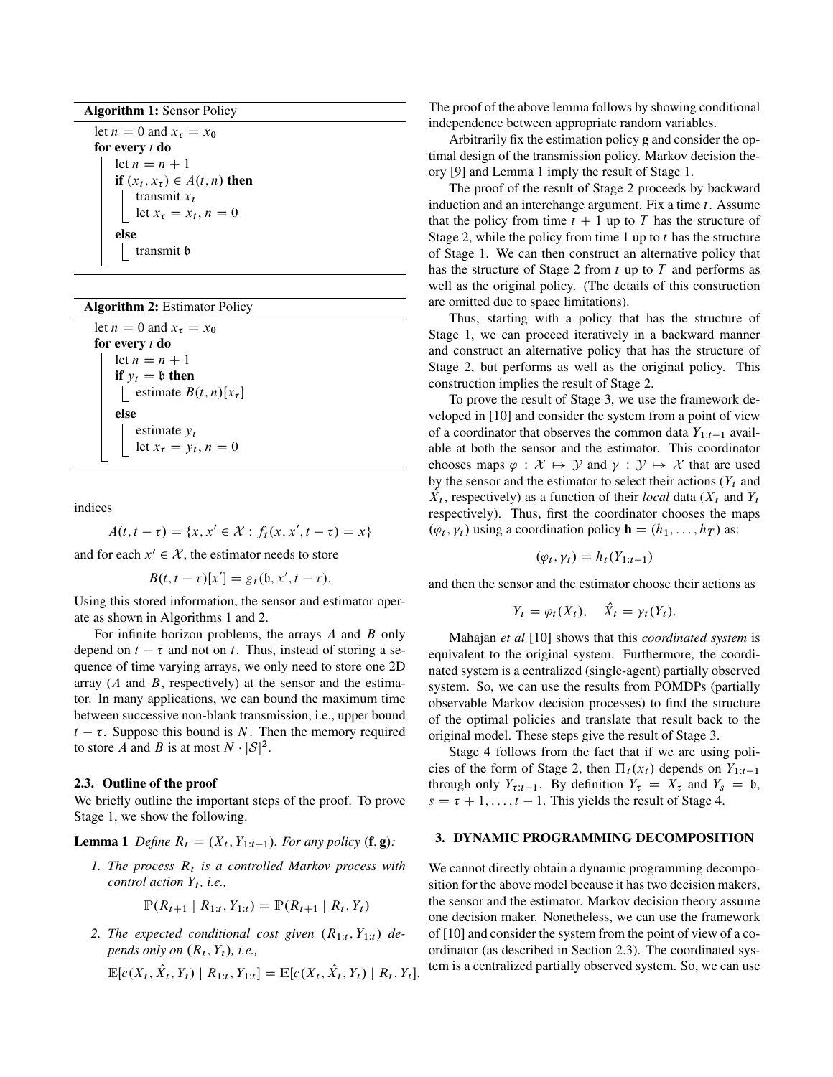Algorithm 1: Sensor Policy

let  $n = 0$  and  $x<sub>\tau</sub> = x<sub>0</sub>$ for every *t* do let  $n = n + 1$ if  $(x_t, x_\tau) \in A(t, n)$  then transmit  $x_t$ let  $x_{\tau} = x_t$ ,  $n = 0$ else transmit b

Algorithm 2: Estimator Policy

let  $n = 0$  and  $x<sub>\tau</sub> = x<sub>0</sub>$ for every *t* do let  $n = n + 1$ if  $y_t = b$  then | estimate  $B(t, n)[x_{\tau}]$ else estimate  $y_t$ let  $x_{\tau} = y_t$ ,  $n = 0$ 

indices

$$
A(t, t - \tau) = \{x, x' \in \mathcal{X} : f_t(x, x', t - \tau) = x\}
$$

and for each  $x' \in \mathcal{X}$ , the estimator needs to store

$$
B(t, t-\tau)[x'] = g_t(\mathfrak{b}, x', t-\tau).
$$

Using this stored information, the sensor and estimator operate as shown in Algorithms 1 and 2.

For infinite horizon problems, the arrays  $A$  and  $B$  only depend on  $t - \tau$  and not on t. Thus, instead of storing a sequence of time varying arrays, we only need to store one 2D array  $(A \text{ and } B, \text{ respectively})$  at the sensor and the estimator. In many applications, we can bound the maximum time between successive non-blank transmission, i.e., upper bound  $t - \tau$ . Suppose this bound is N. Then the memory required to store A and B is at most  $N \cdot |\mathcal{S}|^2$ .

## 2.3. Outline of the proof

We briefly outline the important steps of the proof. To prove Stage 1, we show the following.

**Lemma 1** Define  $R_t = (X_t, Y_{1:t-1})$ . For any policy  $(f, g)$ :

1. The process  $R_t$  is a controlled Markov process with *control action*  $Y_t$ *, i.e.,* 

$$
\mathbb{P}(R_{t+1} | R_{1:t}, Y_{1:t}) = \mathbb{P}(R_{t+1} | R_t, Y_t)
$$

2. The expected conditional cost given  $(R_{1:t}, Y_{1:t})$  de*pends only on*  $(R_t, Y_t)$ *, i.e.,* 

$$
\mathbb{E}[c(X_t, \hat{X}_t, Y_t) | R_{1:t}, Y_{1:t}] = \mathbb{E}[c(X_t, \hat{X}_t, Y_t) | R_t, Y_t].
$$

The proof of the above lemma follows by showing conditional independence between appropriate random variables.

Arbitrarily fix the estimation policy g and consider the optimal design of the transmission policy. Markov decision theory [9] and Lemma 1 imply the result of Stage 1.

The proof of the result of Stage 2 proceeds by backward induction and an interchange argument. Fix a time  $t$ . Assume that the policy from time  $t + 1$  up to T has the structure of Stage 2, while the policy from time 1 up to  $t$  has the structure of Stage 1. We can then construct an alternative policy that has the structure of Stage 2 from  $t$  up to  $T$  and performs as well as the original policy. (The details of this construction are omitted due to space limitations).

Thus, starting with a policy that has the structure of Stage 1, we can proceed iteratively in a backward manner and construct an alternative policy that has the structure of Stage 2, but performs as well as the original policy. This construction implies the result of Stage 2.

To prove the result of Stage 3, we use the framework developed in [10] and consider the system from a point of view of a coordinator that observes the common data  $Y_{1:t-1}$  available at both the sensor and the estimator. This coordinator chooses maps  $\varphi : \mathcal{X} \mapsto \mathcal{Y}$  and  $\gamma : \mathcal{Y} \mapsto \mathcal{X}$  that are used by the sensor and the estimator to select their actions  $(Y_t)$  and  $\hat{X}_t$ , respectively) as a function of their *local* data ( $X_t$  and  $Y_t$ respectively). Thus, first the coordinator chooses the maps  $(\varphi_t, \gamma_t)$  using a coordination policy  $\mathbf{h} = (h_1, \dots, h_T)$  as:

$$
(\varphi_t, \gamma_t) = h_t(Y_{1:t-1})
$$

and then the sensor and the estimator choose their actions as

$$
Y_t = \varphi_t(X_t), \quad \hat{X}_t = \gamma_t(Y_t).
$$

Mahajan *et al* [10] shows that this *coordinated system* is equivalent to the original system. Furthermore, the coordinated system is a centralized (single-agent) partially observed system. So, we can use the results from POMDPs (partially observable Markov decision processes) to find the structure of the optimal policies and translate that result back to the original model. These steps give the result of Stage 3.

Stage 4 follows from the fact that if we are using policies of the form of Stage 2, then  $\Pi_t(x_t)$  depends on  $Y_{1:t-1}$ through only  $Y_{\tau:t-1}$ . By definition  $Y_{\tau} = X_{\tau}$  and  $Y_{s} = \mathfrak{b}$ ,  $s = \tau + 1, \ldots, t - 1$ . This yields the result of Stage 4.

# 3. DYNAMIC PROGRAMMING DECOMPOSITION

We cannot directly obtain a dynamic programming decomposition for the above model because it has two decision makers, the sensor and the estimator. Markov decision theory assume one decision maker. Nonetheless, we can use the framework of [10] and consider the system from the point of view of a coordinator (as described in Section 2.3). The coordinated system is a centralized partially observed system. So, we can use